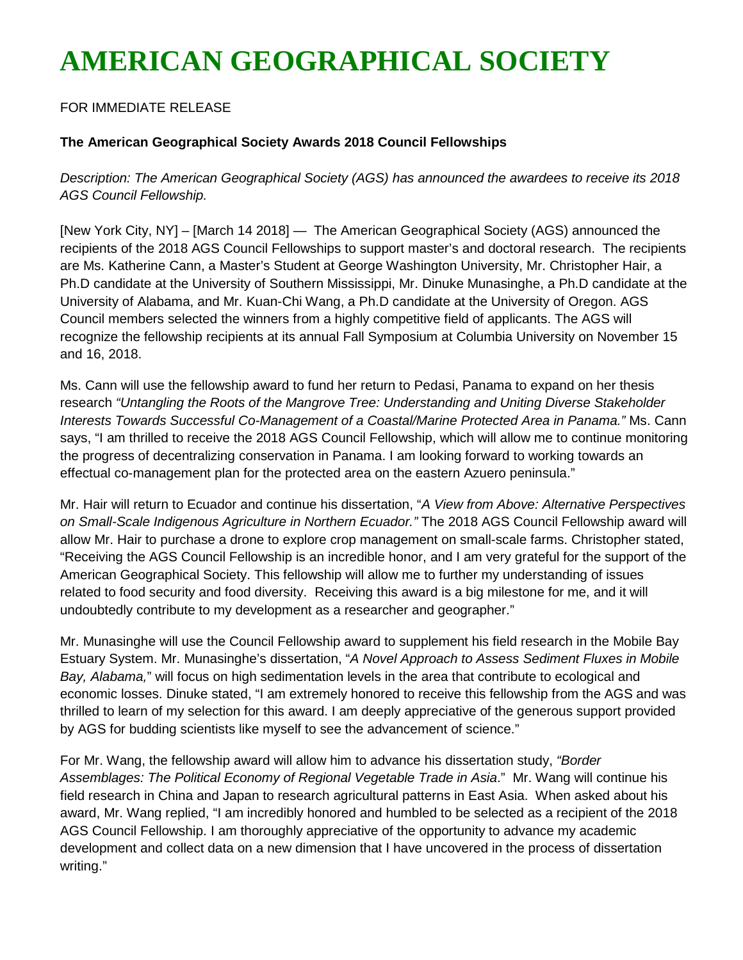## **AMERICAN GEOGRAPHICAL SOCIETY**

## FOR IMMEDIATE RELEASE

## **The American Geographical Society Awards 2018 Council Fellowships**

*Description: The American Geographical Society (AGS) has announced the awardees to receive its 2018 AGS Council Fellowship.*

[New York City, NY] – [March 14 2018] — The American Geographical Society (AGS) announced the recipients of the 2018 AGS Council Fellowships to support master's and doctoral research. The recipients are Ms. Katherine Cann, a Master's Student at George Washington University, Mr. Christopher Hair, a Ph.D candidate at the University of Southern Mississippi, Mr. Dinuke Munasinghe, a Ph.D candidate at the University of Alabama, and Mr. Kuan-Chi Wang, a Ph.D candidate at the University of Oregon. AGS Council members selected the winners from a highly competitive field of applicants. The AGS will recognize the fellowship recipients at its annual Fall Symposium at Columbia University on November 15 and 16, 2018.

Ms. Cann will use the fellowship award to fund her return to Pedasi, Panama to expand on her thesis research *"Untangling the Roots of the Mangrove Tree: Understanding and Uniting Diverse Stakeholder Interests Towards Successful Co-Management of a Coastal/Marine Protected Area in Panama."* Ms. Cann says, "I am thrilled to receive the 2018 AGS Council Fellowship, which will allow me to continue monitoring the progress of decentralizing conservation in Panama. I am looking forward to working towards an effectual co-management plan for the protected area on the eastern Azuero peninsula."

Mr. Hair will return to Ecuador and continue his dissertation, "*A View from Above: Alternative Perspectives on Small-Scale Indigenous Agriculture in Northern Ecuador."* The 2018 AGS Council Fellowship award will allow Mr. Hair to purchase a drone to explore crop management on small-scale farms. Christopher stated, "Receiving the AGS Council Fellowship is an incredible honor, and I am very grateful for the support of the American Geographical Society. This fellowship will allow me to further my understanding of issues related to food security and food diversity. Receiving this award is a big milestone for me, and it will undoubtedly contribute to my development as a researcher and geographer."

Mr. Munasinghe will use the Council Fellowship award to supplement his field research in the Mobile Bay Estuary System. Mr. Munasinghe's dissertation, "*A Novel Approach to Assess Sediment Fluxes in Mobile Bay, Alabama,*" will focus on high sedimentation levels in the area that contribute to ecological and economic losses. Dinuke stated, "I am extremely honored to receive this fellowship from the AGS and was thrilled to learn of my selection for this award. I am deeply appreciative of the generous support provided by AGS for budding scientists like myself to see the advancement of science."

For Mr. Wang, the fellowship award will allow him to advance his dissertation study, *"Border Assemblages: The Political Economy of Regional Vegetable Trade in Asia*." Mr. Wang will continue his field research in China and Japan to research agricultural patterns in East Asia. When asked about his award, Mr. Wang replied, "I am incredibly honored and humbled to be selected as a recipient of the 2018 AGS Council Fellowship. I am thoroughly appreciative of the opportunity to advance my academic development and collect data on a new dimension that I have uncovered in the process of dissertation writing."